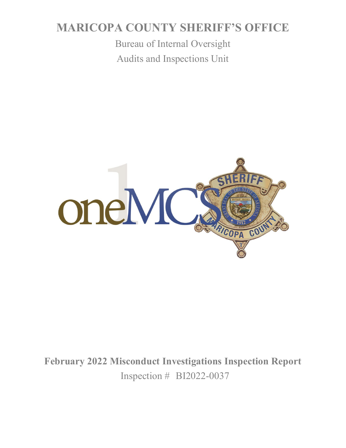# **MARICOPA COUNTY SHERIFF'S OFFICE**

Bureau of Internal Oversight Audits and Inspections Unit



**February 2022 Misconduct Investigations Inspection Report** Inspection # BI2022-0037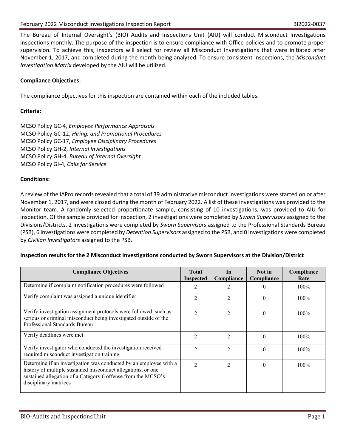The Bureau of Internal Oversight's (BIO) Audits and Inspections Unit (AIU) will conduct Misconduct Investigations inspections monthly. The purpose of the inspection is to ensure compliance with Office policies and to promote proper supervision. To achieve this, inspectors will select for review all Misconduct Investigations that were initiated after November 1, 2017, and completed during the month being analyzed. To ensure consistent inspections, the *Misconduct Investigation Matrix* developed by the AIU will be utilized.

## **Compliance Objectives:**

The compliance objectives for this inspection are contained within each of the included tables.

### **Criteria:**

MCSO Policy GC-4, *Employee Performance Appraisals* MCSO Policy GC-12, *Hiring, and Promotional Procedures* MCSO Policy GC-17, *Employee Disciplinary Procedures* MCSO Policy GH-2, *Internal Investigations* MCSO Policy GH-4, *Bureau of Internal Oversight* MCSO Policy GI-4, *Calls for Service*

#### **Conditions:**

A review of the IAPro records revealed that a total of 39 administrative misconduct investigations were started on or after November 1, 2017, and were closed during the month of February 2022. A list of these investigations was provided to the Monitor team. A randomly selected proportionate sample, consisting of 10 investigations, was provided to AIU for inspection. Of the sample provided for inspection, 2 investigations were completed by *Sworn Supervisors* assigned to the Divisions/Districts, 2 investigations were completed by *Sworn Supervisors* assigned to the Professional Standards Bureau (PSB), 6 investigations were completed by *Detention Supervisors* assigned to the PSB, and 0 investigations were completed by *Civilian Investigators* assigned to the PSB.

#### **Inspection results for the 2 Misconduct Investigations conducted by Sworn Supervisors at the Division/District**

| <b>Compliance Objectives</b>                                                                                                                                                                                               | <b>Total</b><br>Inspected   | In<br>Compliance            | Not in<br>Compliance | Compliance<br>Rate |
|----------------------------------------------------------------------------------------------------------------------------------------------------------------------------------------------------------------------------|-----------------------------|-----------------------------|----------------------|--------------------|
| Determine if complaint notification procedures were followed                                                                                                                                                               |                             |                             | $\theta$             | $100\%$            |
| Verify complaint was assigned a unique identifier                                                                                                                                                                          | $\overline{2}$              | $\overline{c}$              | $\Omega$             | 100%               |
| Verify investigation assignment protocols were followed, such as<br>serious or criminal misconduct being investigated outside of the<br>Professional Standards Bureau                                                      | $\mathcal{L}$               | $\mathfrak{D}$              | $\Omega$             | $100\%$            |
| Verify deadlines were met                                                                                                                                                                                                  | $\mathfrak{D}$              | $\mathcal{D}_{\mathcal{L}}$ | $\Omega$             | $100\%$            |
| Verify investigator who conducted the investigation received<br>required misconduct investigation training                                                                                                                 | $\mathcal{D}_{\mathcal{A}}$ | $\mathcal{D}_{\mathcal{L}}$ | $\Omega$             | $100\%$            |
| Determine if an investigation was conducted by an employee with a<br>history of multiple sustained misconduct allegations, or one<br>sustained allegation of a Category 6 offense from the MCSO's<br>disciplinary matrices | $\mathfrak{D}$              | $\mathfrak{D}$              | $\theta$             | $100\%$            |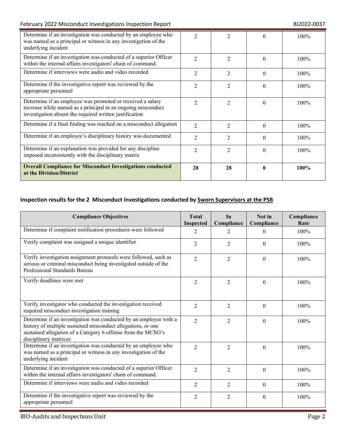## February 2022 Misconduct Investigations Inspection Report **BI2022-0037** BI2022-0037

| Determine if an investigation was conducted by an employee who<br>was named as a principal or witness in any investigation of the<br>underlying incident                              | $\mathcal{D}_{\mathcal{L}}$ | $\mathfrak{D}$              |          | 100% |
|---------------------------------------------------------------------------------------------------------------------------------------------------------------------------------------|-----------------------------|-----------------------------|----------|------|
| Determine if an investigation was conducted of a superior Officer<br>within the internal affairs investigators' chain of command.                                                     | $\mathcal{D}_{\mathcal{L}}$ | $\mathfrak{D}$              | $\Omega$ | 100% |
| Determine if interviews were audio and video recorded                                                                                                                                 | 2                           | 2                           | $\Omega$ | 100% |
| Determine if the investigative report was reviewed by the<br>appropriate personnel                                                                                                    | 2                           | $\overline{2}$              | $\Omega$ | 100% |
| Determine if an employee was promoted or received a salary<br>increase while named as a principal in an ongoing misconduct<br>investigation absent the required written justification | $\mathfrak{D}$              | $\overline{2}$              | $\Omega$ | 100% |
| Determine if a final finding was reached on a misconduct allegation                                                                                                                   | $\mathcal{D}_{\mathcal{L}}$ | $\mathcal{D}$               | $\Omega$ | 100% |
| Determine if an employee's disciplinary history was documented                                                                                                                        | $\mathfrak{D}$              | $\mathfrak{D}$              | $\Omega$ | 100% |
| Determine if an explanation was provided for any discipline<br>imposed inconsistently with the disciplinary matrix                                                                    | $\mathfrak{D}$              | $\mathcal{D}_{\mathcal{L}}$ | $\Omega$ | 100% |
| <b>Overall Compliance for Misconduct Investigations conducted</b><br>at the Division/District                                                                                         | 28                          | 28                          | 0        | 100% |

# **Inspection results for the 2 Misconduct Investigations conducted by Sworn Supervisors at the PSB**

| <b>Compliance Objectives</b>                                                                                                                                                                                               | <b>Total</b><br><b>Inspected</b> | In<br>Compliance | Not in<br>Compliance | Compliance<br>Rate |
|----------------------------------------------------------------------------------------------------------------------------------------------------------------------------------------------------------------------------|----------------------------------|------------------|----------------------|--------------------|
| Determine if complaint notification procedures were followed                                                                                                                                                               | $\overline{2}$                   | 2                | $\theta$             | 100%               |
| Verify complaint was assigned a unique identifier                                                                                                                                                                          | 2                                | 2                | $\Omega$             | 100%               |
| Verify investigation assignment protocols were followed, such as<br>serious or criminal misconduct being investigated outside of the<br>Professional Standards Bureau                                                      | $\overline{2}$                   | $\overline{2}$   | $\Omega$             | 100%               |
| Verify deadlines were met                                                                                                                                                                                                  | $\mathfrak{D}$                   | $\mathfrak{D}$   | $\Omega$             | 100%               |
| Verify investigator who conducted the investigation received<br>required misconduct investigation training                                                                                                                 | $\mathfrak{D}$                   | $\mathfrak{D}$   | $\Omega$             | 100%               |
| Determine if an investigation was conducted by an employee with a<br>history of multiple sustained misconduct allegations, or one<br>sustained allegation of a Category 6 offense from the MCSO's<br>disciplinary matrices | $\mathfrak{D}$                   | $\mathfrak{D}$   | $\Omega$             | 100%               |
| Determine if an investigation was conducted by an employee who<br>was named as a principal or witness in any investigation of the<br>underlying incident                                                                   | $\mathfrak{D}$                   | $\overline{2}$   | $\Omega$             | 100%               |
| Determine if an investigation was conducted of a superior Officer<br>within the internal affairs investigators' chain of command.                                                                                          | $\overline{2}$                   | $\overline{2}$   | $\theta$             | 100%               |
| Determine if interviews were audio and video recorded                                                                                                                                                                      | $\overline{2}$                   | $\overline{2}$   | $\Omega$             | 100%               |
| Determine if the investigative report was reviewed by the<br>appropriate personnel                                                                                                                                         | 2                                | $\overline{2}$   | $\theta$             | 100%               |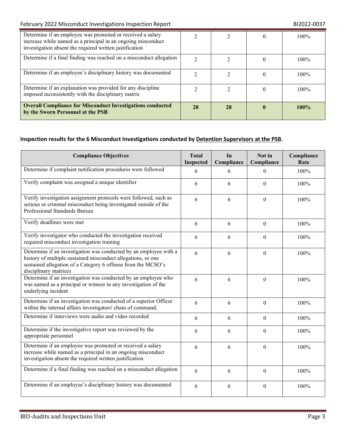| Determine if an employee was promoted or received a salary<br>increase while named as a principal in an ongoing misconduct<br>investigation absent the required written justification |               |    | $100\%$ |
|---------------------------------------------------------------------------------------------------------------------------------------------------------------------------------------|---------------|----|---------|
| Determine if a final finding was reached on a misconduct allegation                                                                                                                   | $\mathcal{D}$ |    | $100\%$ |
| Determine if an employee's disciplinary history was documented                                                                                                                        |               |    | $100\%$ |
| Determine if an explanation was provided for any discipline<br>imposed inconsistently with the disciplinary matrix                                                                    |               |    | $100\%$ |
| <b>Overall Compliance for Misconduct Investigations conducted</b><br>by the Sworn Personnel at the PSB                                                                                | 28            | 28 | $100\%$ |

# **Inspection results for the 6 Misconduct Investigations conducted by Detention Supervisors at the PSB.**

| <b>Compliance Objectives</b>                                                                                                                                                                                               | <b>Total</b><br>Inspected | In<br>Compliance | Not in<br>Compliance | Compliance<br>Rate |
|----------------------------------------------------------------------------------------------------------------------------------------------------------------------------------------------------------------------------|---------------------------|------------------|----------------------|--------------------|
| Determine if complaint notification procedures were followed                                                                                                                                                               | 6                         | 6                | $\Omega$             | 100%               |
| Verify complaint was assigned a unique identifier                                                                                                                                                                          | 6                         | 6                | $\Omega$             | 100%               |
| Verify investigation assignment protocols were followed, such as<br>serious or criminal misconduct being investigated outside of the<br>Professional Standards Bureau                                                      | 6                         | 6                | $\Omega$             | 100%               |
| Verify deadlines were met                                                                                                                                                                                                  | 6                         | 6                | $\Omega$             | 100%               |
| Verify investigator who conducted the investigation received<br>required misconduct investigation training                                                                                                                 | 6                         | 6                | $\Omega$             | 100%               |
| Determine if an investigation was conducted by an employee with a<br>history of multiple sustained misconduct allegations, or one<br>sustained allegation of a Category 6 offense from the MCSO's<br>disciplinary matrices | 6                         | 6                | $\theta$             | 100%               |
| Determine if an investigation was conducted by an employee who<br>was named as a principal or witness in any investigation of the<br>underlying incident                                                                   | 6                         | 6                | $\Omega$             | 100%               |
| Determine if an investigation was conducted of a superior Officer<br>within the internal affairs investigators' chain of command.                                                                                          | 6                         | 6                | $\Omega$             | 100%               |
| Determine if interviews were audio and video recorded                                                                                                                                                                      | 6                         | 6                | $\Omega$             | 100%               |
| Determine if the investigative report was reviewed by the<br>appropriate personnel                                                                                                                                         | 6                         | 6                | $\theta$             | 100%               |
| Determine if an employee was promoted or received a salary<br>increase while named as a principal in an ongoing misconduct<br>investigation absent the required written justification                                      | 6                         | 6                | $\mathbf{0}$         | 100%               |
| Determine if a final finding was reached on a misconduct allegation                                                                                                                                                        | 6                         | 6                | $\Omega$             | 100%               |
| Determine if an employee's disciplinary history was documented                                                                                                                                                             | 6                         | 6                | $\boldsymbol{0}$     | 100%               |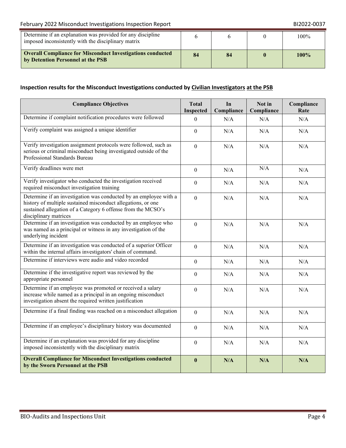## February 2022 Misconduct Investigations Inspection Report **BI2022-0037** BI2022-0037

| Determine if an explanation was provided for any discipline<br>imposed inconsistently with the disciplinary matrix |    |  | 100% |
|--------------------------------------------------------------------------------------------------------------------|----|--|------|
| <b>Overall Compliance for Misconduct Investigations conducted</b><br>by Detention Personnel at the PSB             | 84 |  | 100% |

## **Inspection results for the Misconduct Investigations conducted by Civilian Investigators at the PSB**

| <b>Compliance Objectives</b>                                                                                                                                                                                               | <b>Total</b><br>Inspected | In<br>Compliance | Not in<br>Compliance | Compliance<br>Rate |
|----------------------------------------------------------------------------------------------------------------------------------------------------------------------------------------------------------------------------|---------------------------|------------------|----------------------|--------------------|
| Determine if complaint notification procedures were followed                                                                                                                                                               | $\theta$                  | N/A              | N/A                  | N/A                |
| Verify complaint was assigned a unique identifier                                                                                                                                                                          | $\theta$                  | N/A              | N/A                  | N/A                |
| Verify investigation assignment protocols were followed, such as<br>serious or criminal misconduct being investigated outside of the<br>Professional Standards Bureau                                                      | $\theta$                  | N/A              | N/A                  | N/A                |
| Verify deadlines were met                                                                                                                                                                                                  | $\mathbf{0}$              | N/A              | N/A                  | N/A                |
| Verify investigator who conducted the investigation received<br>required misconduct investigation training                                                                                                                 | $\theta$                  | N/A              | N/A                  | N/A                |
| Determine if an investigation was conducted by an employee with a<br>history of multiple sustained misconduct allegations, or one<br>sustained allegation of a Category 6 offense from the MCSO's<br>disciplinary matrices | $\boldsymbol{0}$          | N/A              | N/A                  | N/A                |
| Determine if an investigation was conducted by an employee who<br>was named as a principal or witness in any investigation of the<br>underlying incident                                                                   | $\overline{0}$            | N/A              | N/A                  | N/A                |
| Determine if an investigation was conducted of a superior Officer<br>within the internal affairs investigators' chain of command.                                                                                          | $\mathbf{0}$              | N/A              | N/A                  | N/A                |
| Determine if interviews were audio and video recorded                                                                                                                                                                      | $\overline{0}$            | N/A              | N/A                  | N/A                |
| Determine if the investigative report was reviewed by the<br>appropriate personnel                                                                                                                                         | $\Omega$                  | N/A              | N/A                  | N/A                |
| Determine if an employee was promoted or received a salary<br>increase while named as a principal in an ongoing misconduct<br>investigation absent the required written justification                                      | $\theta$                  | N/A              | N/A                  | N/A                |
| Determine if a final finding was reached on a misconduct allegation                                                                                                                                                        | $\overline{0}$            | N/A              | N/A                  | N/A                |
| Determine if an employee's disciplinary history was documented                                                                                                                                                             | $\boldsymbol{0}$          | N/A              | N/A                  | N/A                |
| Determine if an explanation was provided for any discipline<br>imposed inconsistently with the disciplinary matrix                                                                                                         | $\overline{0}$            | N/A              | N/A                  | N/A                |
| <b>Overall Compliance for Misconduct Investigations conducted</b><br>by the Sworn Personnel at the PSB                                                                                                                     | $\bf{0}$                  | N/A              | N/A                  | N/A                |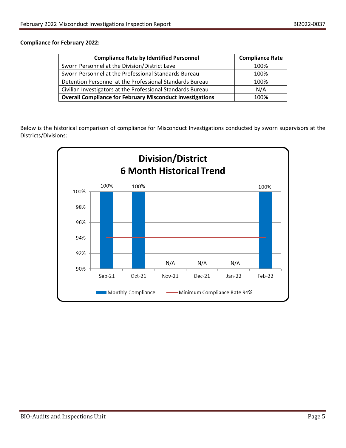### **Compliance for February 2022:**

| <b>Compliance Rate by Identified Personnel</b>                   | <b>Compliance Rate</b> |
|------------------------------------------------------------------|------------------------|
| Sworn Personnel at the Division/District Level                   | 100%                   |
| Sworn Personnel at the Professional Standards Bureau             | 100%                   |
| Detention Personnel at the Professional Standards Bureau         | 100%                   |
| Civilian Investigators at the Professional Standards Bureau      | N/A                    |
| <b>Overall Compliance for February Misconduct Investigations</b> | 100%                   |

Below is the historical comparison of compliance for Misconduct Investigations conducted by sworn supervisors at the Districts/Divisions:

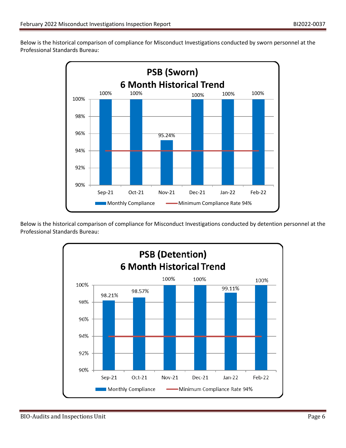Below is the historical comparison of compliance for Misconduct Investigations conducted by sworn personnel at the Professional Standards Bureau:



Below is the historical comparison of compliance for Misconduct Investigations conducted by detention personnel at the Professional Standards Bureau:

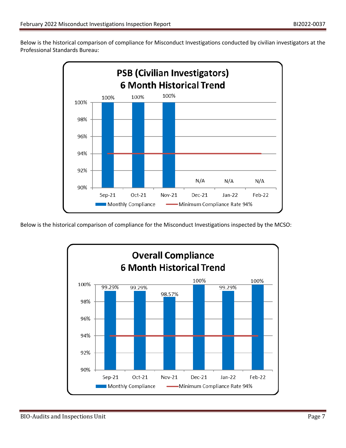Below is the historical comparison of compliance for Misconduct Investigations conducted by civilian investigators at the Professional Standards Bureau:



Below is the historical comparison of compliance for the Misconduct Investigations inspected by the MCSO: